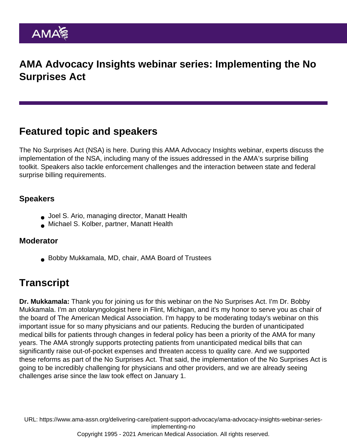AMA Advocacy Insights webinar series: Implementing the No Surprises Act

## Featured topic and speakers

The No Surprises Act (NSA) is here. During this AMA Advocacy Insights webinar, experts discuss the implementation of the NSA, including many of the issues addressed in the [AMA's surprise billing](https://www.ama-assn.org/delivering-care/patient-support-advocacy/implementation-no-surprises-act#toolkit-for-physicians) [toolkit](https://www.ama-assn.org/delivering-care/patient-support-advocacy/implementation-no-surprises-act#toolkit-for-physicians). Speakers also tackle enforcement challenges and the interaction between state and federal surprise billing requirements.

## Speakers

- Joel S. Ario, managing director, Manatt Health
- Michael S. Kolber, partner, Manatt Health

## Moderator

Bobby Mukkamala, MD, chair, AMA Board of Trustees

## **Transcript**

Dr. Mukkamala: Thank you for joining us for this webinar on the No Surprises Act. I'm Dr. Bobby Mukkamala. I'm an otolaryngologist here in Flint, Michigan, and it's my honor to serve you as chair of the board of The American Medical Association. I'm happy to be moderating today's webinar on this important issue for so many physicians and our patients. Reducing the burden of unanticipated medical bills for patients through changes in federal policy has been a priority of the AMA for many years. The AMA strongly supports protecting patients from unanticipated medical bills that can significantly raise out-of-pocket expenses and threaten access to quality care. And we supported these reforms as part of the No Surprises Act. That said, the implementation of the No Surprises Act is going to be incredibly challenging for physicians and other providers, and we are already seeing challenges arise since the law took effect on January 1.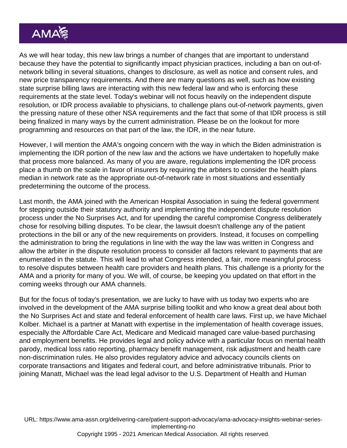As we will hear today, this new law brings a number of changes that are important to understand because they have the potential to significantly impact physician practices, including a ban on out-ofnetwork billing in several situations, changes to disclosure, as well as notice and consent rules, and new price transparency requirements. And there are many questions as well, such as how existing state surprise billing laws are interacting with this new federal law and who is enforcing these requirements at the state level. Today's webinar will not focus heavily on the independent dispute resolution, or IDR process available to physicians, to challenge plans out-of-network payments, given the pressing nature of these other NSA requirements and the fact that some of that IDR process is still being finalized in many ways by the current administration. Please be on the lookout for more programming and resources on that part of the law, the IDR, in the near future.

However, I will mention the AMA's ongoing concern with the way in which the Biden administration is implementing the IDR portion of the new law and the actions we have undertaken to hopefully make that process more balanced. As many of you are aware, regulations implementing the IDR process place a thumb on the scale in favor of insurers by requiring the arbiters to consider the health plans median in network rate as the appropriate out-of-network rate in most situations and essentially predetermining the outcome of the process.

Last month, the AMA joined with the American Hospital Association in suing the federal government for stepping outside their statutory authority and implementing the independent dispute resolution process under the No Surprises Act, and for upending the careful compromise Congress deliberately chose for resolving billing disputes. To be clear, the lawsuit doesn't challenge any of the patient protections in the bill or any of the new requirements on providers. Instead, it focuses on compelling the administration to bring the regulations in line with the way the law was written in Congress and allow the arbiter in the dispute resolution process to consider all factors relevant to payments that are enumerated in the statute. This will lead to what Congress intended, a fair, more meaningful process to resolve disputes between health care providers and health plans. This challenge is a priority for the AMA and a priority for many of you. We will, of course, be keeping you updated on that effort in the coming weeks through our AMA channels.

But for the focus of today's presentation, we are lucky to have with us today two experts who are involved in the development of the AMA surprise billing toolkit and who know a great deal about both the No Surprises Act and state and federal enforcement of health care laws. First up, we have Michael Kolber. Michael is a partner at Manatt with expertise in the implementation of health coverage issues, especially the Affordable Care Act, Medicare and Medicaid managed care value-based purchasing and employment benefits. He provides legal and policy advice with a particular focus on mental health parody, medical loss ratio reporting, pharmacy benefit management, risk adjustment and health care non-discrimination rules. He also provides regulatory advice and advocacy councils clients on corporate transactions and litigates and federal court, and before administrative tribunals. Prior to joining Manatt, Michael was the lead legal advisor to the U.S. Department of Health and Human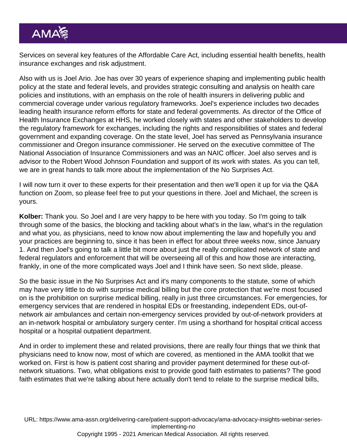Services on several key features of the Affordable Care Act, including essential health benefits, health insurance exchanges and risk adjustment.

Also with us is Joel Ario. Joe has over 30 years of experience shaping and implementing public health policy at the state and federal levels, and provides strategic consulting and analysis on health care policies and institutions, with an emphasis on the role of health insurers in delivering public and commercial coverage under various regulatory frameworks. Joel's experience includes two decades leading health insurance reform efforts for state and federal governments. As director of the Office of Health Insurance Exchanges at HHS, he worked closely with states and other stakeholders to develop the regulatory framework for exchanges, including the rights and responsibilities of states and federal government and expanding coverage. On the state level, Joel has served as Pennsylvania insurance commissioner and Oregon insurance commissioner. He served on the executive committee of The National Association of Insurance Commissioners and was an NAIC officer. Joel also serves and is advisor to the Robert Wood Johnson Foundation and support of its work with states. As you can tell, we are in great hands to talk more about the implementation of the No Surprises Act.

I will now turn it over to these experts for their presentation and then we'll open it up for via the Q&A function on Zoom, so please feel free to put your questions in there. Joel and Michael, the screen is yours.

Kolber: Thank you. So Joel and I are very happy to be here with you today. So I'm going to talk through some of the basics, the blocking and tackling about what's in the law, what's in the regulation and what you, as physicians, need to know now about implementing the law and hopefully you and your practices are beginning to, since it has been in effect for about three weeks now, since January 1. And then Joel's going to talk a little bit more about just the really complicated network of state and federal regulators and enforcement that will be overseeing all of this and how those are interacting, frankly, in one of the more complicated ways Joel and I think have seen. So next slide, please.

So the basic issue in the No Surprises Act and it's many components to the statute, some of which may have very little to do with surprise medical billing but the core protection that we're most focused on is the prohibition on surprise medical billing, really in just three circumstances. For emergencies, for emergency services that are rendered in hospital EDs or freestanding, independent EDs, out-ofnetwork air ambulances and certain non-emergency services provided by out-of-network providers at an in-network hospital or ambulatory surgery center. I'm using a shorthand for hospital critical access hospital or a hospital outpatient department.

And in order to implement these and related provisions, there are really four things that we think that physicians need to know now, most of which are covered, as mentioned in the AMA toolkit that we worked on. First is how is patient cost sharing and provider payment determined for these out-ofnetwork situations. Two, what obligations exist to provide good faith estimates to patients? The good faith estimates that we're talking about here actually don't tend to relate to the surprise medical bills,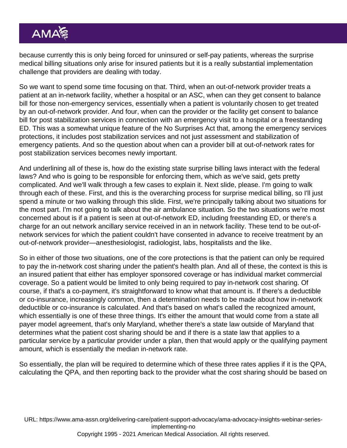because currently this is only being forced for uninsured or self-pay patients, whereas the surprise medical billing situations only arise for insured patients but it is a really substantial implementation challenge that providers are dealing with today.

So we want to spend some time focusing on that. Third, when an out-of-network provider treats a patient at an in-network facility, whether a hospital or an ASC, when can they get consent to balance bill for those non-emergency services, essentially when a patient is voluntarily chosen to get treated by an out-of-network provider. And four, when can the provider or the facility get consent to balance bill for post stabilization services in connection with an emergency visit to a hospital or a freestanding ED. This was a somewhat unique feature of the No Surprises Act that, among the emergency services protections, it includes post stabilization services and not just assessment and stabilization of emergency patients. And so the question about when can a provider bill at out-of-network rates for post stabilization services becomes newly important.

And underlining all of these is, how do the existing state surprise billing laws interact with the federal laws? And who is going to be responsible for enforcing them, which as we've said, gets pretty complicated. And we'll walk through a few cases to explain it. Next slide, please. I'm going to walk through each of these. First, and this is the overarching process for surprise medical billing, so I'll just spend a minute or two walking through this slide. First, we're principally talking about two situations for the most part. I'm not going to talk about the air ambulance situation. So the two situations we're most concerned about is if a patient is seen at out-of-network ED, including freestanding ED, or there's a charge for an out network ancillary service received in an in network facility. These tend to be out-ofnetwork services for which the patient couldn't have consented in advance to receive treatment by an out-of-network provider—anesthesiologist, radiologist, labs, hospitalists and the like.

So in either of those two situations, one of the core protections is that the patient can only be required to pay the in-network cost sharing under the patient's health plan. And all of these, the context is this is an insured patient that either has employer sponsored coverage or has individual market commercial coverage. So a patient would be limited to only being required to pay in-network cost sharing. Of course, if that's a co-payment, it's straightforward to know what that amount is. If there's a deductible or co-insurance, increasingly common, then a determination needs to be made about how in-network deductible or co-insurance is calculated. And that's based on what's called the recognized amount, which essentially is one of these three things. It's either the amount that would come from a state all payer model agreement, that's only Maryland, whether there's a state law outside of Maryland that determines what the patient cost sharing should be and if there is a state law that applies to a particular service by a particular provider under a plan, then that would apply or the qualifying payment amount, which is essentially the median in-network rate.

So essentially, the plan will be required to determine which of these three rates applies if it is the QPA, calculating the QPA, and then reporting back to the provider what the cost sharing should be based on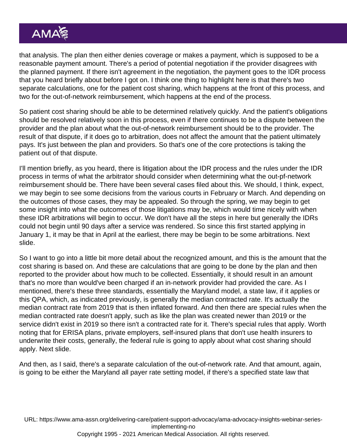that analysis. The plan then either denies coverage or makes a payment, which is supposed to be a reasonable payment amount. There's a period of potential negotiation if the provider disagrees with the planned payment. If there isn't agreement in the negotiation, the payment goes to the IDR process that you heard briefly about before I got on. I think one thing to highlight here is that there's two separate calculations, one for the patient cost sharing, which happens at the front of this process, and two for the out-of-network reimbursement, which happens at the end of the process.

So patient cost sharing should be able to be determined relatively quickly. And the patient's obligations should be resolved relatively soon in this process, even if there continues to be a dispute between the provider and the plan about what the out-of-network reimbursement should be to the provider. The result of that dispute, if it does go to arbitration, does not affect the amount that the patient ultimately pays. It's just between the plan and providers. So that's one of the core protections is taking the patient out of that dispute.

I'll mention briefly, as you heard, there is litigation about the IDR process and the rules under the IDR process in terms of what the arbitrator should consider when determining what the out-pf-network reimbursement should be. There have been several cases filed about this. We should, I think, expect, we may begin to see some decisions from the various courts in February or March. And depending on the outcomes of those cases, they may be appealed. So through the spring, we may begin to get some insight into what the outcomes of those litigations may be, which would time nicely with when these IDR arbitrations will begin to occur. We don't have all the steps in here but generally the IDRs could not begin until 90 days after a service was rendered. So since this first started applying in January 1, it may be that in April at the earliest, there may be begin to be some arbitrations. Next slide.

So I want to go into a little bit more detail about the recognized amount, and this is the amount that the cost sharing is based on. And these are calculations that are going to be done by the plan and then reported to the provider about how much to be collected. Essentially, it should result in an amount that's no more than would've been charged if an in-network provider had provided the care. As I mentioned, there's these three standards, essentially the Maryland model, a state law, if it applies or this QPA, which, as indicated previously, is generally the median contracted rate. It's actually the median contract rate from 2019 that is then inflated forward. And then there are special rules when the median contracted rate doesn't apply, such as like the plan was created newer than 2019 or the service didn't exist in 2019 so there isn't a contracted rate for it. There's special rules that apply. Worth noting that for ERISA plans, private employers, self-insured plans that don't use health insurers to underwrite their costs, generally, the federal rule is going to apply about what cost sharing should apply. Next slide.

And then, as I said, there's a separate calculation of the out-of-network rate. And that amount, again, is going to be either the Maryland all payer rate setting model, if there's a specified state law that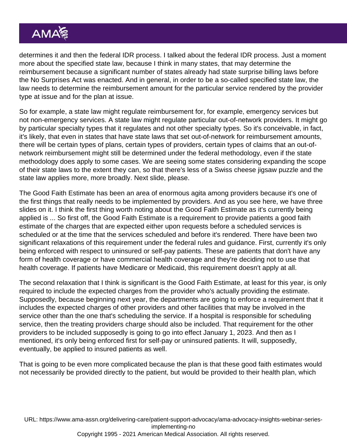determines it and then the federal IDR process. I talked about the federal IDR process. Just a moment more about the specified state law, because I think in many states, that may determine the reimbursement because a significant number of states already had state surprise billing laws before the No Surprises Act was enacted. And in general, in order to be a so-called specified state law, the law needs to determine the reimbursement amount for the particular service rendered by the provider type at issue and for the plan at issue.

So for example, a state law might regulate reimbursement for, for example, emergency services but not non-emergency services. A state law might regulate particular out-of-network providers. It might go by particular specialty types that it regulates and not other specialty types. So it's conceivable, in fact, it's likely, that even in states that have state laws that set out-of-network for reimbursement amounts, there will be certain types of plans, certain types of providers, certain types of claims that an out-ofnetwork reimbursement might still be determined under the federal methodology, even if the state methodology does apply to some cases. We are seeing some states considering expanding the scope of their state laws to the extent they can, so that there's less of a Swiss cheese jigsaw puzzle and the state law applies more, more broadly. Next slide, please.

The Good Faith Estimate has been an area of enormous agita among providers because it's one of the first things that really needs to be implemented by providers. And as you see here, we have three slides on it. I think the first thing worth noting about the Good Faith Estimate as it's currently being applied is ... So first off, the Good Faith Estimate is a requirement to provide patients a good faith estimate of the charges that are expected either upon requests before a scheduled services is scheduled or at the time that the services scheduled and before it's rendered. There have been two significant relaxations of this requirement under the federal rules and guidance. First, currently it's only being enforced with respect to uninsured or self-pay patients. These are patients that don't have any form of health coverage or have commercial health coverage and they're deciding not to use that health coverage. If patients have Medicare or Medicaid, this requirement doesn't apply at all.

The second relaxation that I think is significant is the Good Faith Estimate, at least for this year, is only required to include the expected charges from the provider who's actually providing the estimate. Supposedly, because beginning next year, the departments are going to enforce a requirement that it includes the expected charges of other providers and other facilities that may be involved in the service other than the one that's scheduling the service. If a hospital is responsible for scheduling service, then the treating providers charge should also be included. That requirement for the other providers to be included supposedly is going to go into effect January 1, 2023. And then as I mentioned, it's only being enforced first for self-pay or uninsured patients. It will, supposedly, eventually, be applied to insured patients as well.

That is going to be even more complicated because the plan is that these good faith estimates would not necessarily be provided directly to the patient, but would be provided to their health plan, which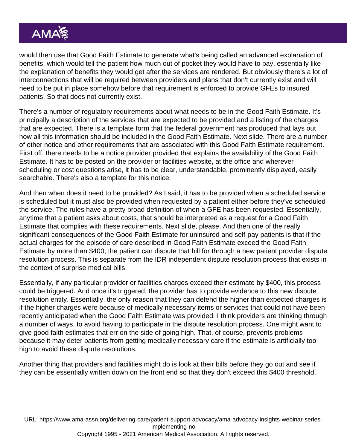would then use that Good Faith Estimate to generate what's being called an advanced explanation of benefits, which would tell the patient how much out of pocket they would have to pay, essentially like the explanation of benefits they would get after the services are rendered. But obviously there's a lot of interconnections that will be required between providers and plans that don't currently exist and will need to be put in place somehow before that requirement is enforced to provide GFEs to insured patients. So that does not currently exist.

There's a number of regulatory requirements about what needs to be in the Good Faith Estimate. It's principally a description of the services that are expected to be provided and a listing of the charges that are expected. There is a template form that the federal government has produced that lays out how all this information should be included in the Good Faith Estimate. Next slide. There are a number of other notice and other requirements that are associated with this Good Faith Estimate requirement. First off, there needs to be a notice provider provided that explains the availability of the Good Faith Estimate. It has to be posted on the provider or facilities website, at the office and wherever scheduling or cost questions arise, it has to be clear, understandable, prominently displayed, easily searchable. There's also a template for this notice.

And then when does it need to be provided? As I said, it has to be provided when a scheduled service is scheduled but it must also be provided when requested by a patient either before they've scheduled the service. The rules have a pretty broad definition of when a GFE has been requested. Essentially, anytime that a patient asks about costs, that should be interpreted as a request for a Good Faith Estimate that complies with these requirements. Next slide, please. And then one of the really significant consequences of the Good Faith Estimate for uninsured and self-pay patients is that if the actual charges for the episode of care described in Good Faith Estimate exceed the Good Faith Estimate by more than \$400, the patient can dispute that bill for through a new patient provider dispute resolution process. This is separate from the IDR independent dispute resolution process that exists in the context of surprise medical bills.

Essentially, if any particular provider or facilities charges exceed their estimate by \$400, this process could be triggered. And once it's triggered, the provider has to provide evidence to this new dispute resolution entity. Essentially, the only reason that they can defend the higher than expected charges is if the higher charges were because of medically necessary items or services that could not have been recently anticipated when the Good Faith Estimate was provided. I think providers are thinking through a number of ways, to avoid having to participate in the dispute resolution process. One might want to give good faith estimates that err on the side of going high. That, of course, prevents problems because it may deter patients from getting medically necessary care if the estimate is artificially too high to avoid these dispute resolutions.

Another thing that providers and facilities might do is look at their bills before they go out and see if they can be essentially written down on the front end so that they don't exceed this \$400 threshold.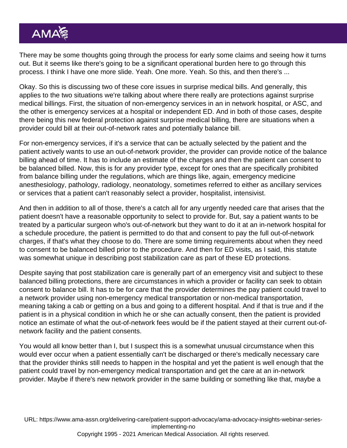There may be some thoughts going through the process for early some claims and seeing how it turns out. But it seems like there's going to be a significant operational burden here to go through this process. I think I have one more slide. Yeah. One more. Yeah. So this, and then there's ...

Okay. So this is discussing two of these core issues in surprise medical bills. And generally, this applies to the two situations we're talking about where there really are protections against surprise medical billings. First, the situation of non-emergency services in an in network hospital, or ASC, and the other is emergency services at a hospital or independent ED. And in both of those cases, despite there being this new federal protection against surprise medical billing, there are situations when a provider could bill at their out-of-network rates and potentially balance bill.

For non-emergency services, if it's a service that can be actually selected by the patient and the patient actively wants to use an out-of-network provider, the provider can provide notice of the balance billing ahead of time. It has to include an estimate of the charges and then the patient can consent to be balanced billed. Now, this is for any provider type, except for ones that are specifically prohibited from balance billing under the regulations, which are things like, again, emergency medicine anesthesiology, pathology, radiology, neonatology, sometimes referred to either as ancillary services or services that a patient can't reasonably select a provider, hospitalist, intensivist.

And then in addition to all of those, there's a catch all for any urgently needed care that arises that the patient doesn't have a reasonable opportunity to select to provide for. But, say a patient wants to be treated by a particular surgeon who's out-of-network but they want to do it at an in-network hospital for a schedule procedure, the patient is permitted to do that and consent to pay the full out-of-network charges, if that's what they choose to do. There are some timing requirements about when they need to consent to be balanced billed prior to the procedure. And then for ED visits, as I said, this statute was somewhat unique in describing post stabilization care as part of these ED protections.

Despite saying that post stabilization care is generally part of an emergency visit and subject to these balanced billing protections, there are circumstances in which a provider or facility can seek to obtain consent to balance bill. It has to be for care that the provider determines the pay patient could travel to a network provider using non-emergency medical transportation or non-medical transportation, meaning taking a cab or getting on a bus and going to a different hospital. And if that is true and if the patient is in a physical condition in which he or she can actually consent, then the patient is provided notice an estimate of what the out-of-network fees would be if the patient stayed at their current out-ofnetwork facility and the patient consents.

You would all know better than I, but I suspect this is a somewhat unusual circumstance when this would ever occur when a patient essentially can't be discharged or there's medically necessary care that the provider thinks still needs to happen in the hospital and yet the patient is well enough that the patient could travel by non-emergency medical transportation and get the care at an in-network provider. Maybe if there's new network provider in the same building or something like that, maybe a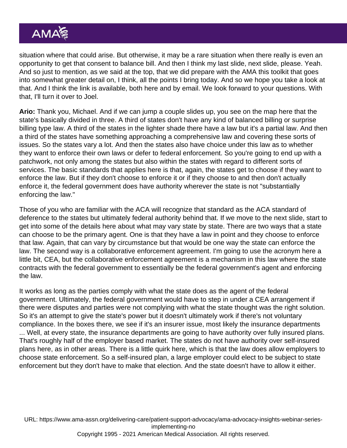situation where that could arise. But otherwise, it may be a rare situation when there really is even an opportunity to get that consent to balance bill. And then I think my last slide, next slide, please. Yeah. And so just to mention, as we said at the top, that we did prepare with the AMA this toolkit that goes into somewhat greater detail on, I think, all the points I bring today. And so we hope you take a look at that. And I think the link is available, both here and by email. We look forward to your questions. With that, I'll turn it over to Joel.

Ario: Thank you, Michael. And if we can jump a couple slides up, you see on the map here that the state's basically divided in three. A third of states don't have any kind of balanced billing or surprise billing type law. A third of the states in the lighter shade there have a law but it's a partial law. And then a third of the states have something approaching a comprehensive law and covering these sorts of issues. So the states vary a lot. And then the states also have choice under this law as to whether they want to enforce their own laws or defer to federal enforcement. So you're going to end up with a patchwork, not only among the states but also within the states with regard to different sorts of services. The basic standards that applies here is that, again, the states get to choose if they want to enforce the law. But if they don't choose to enforce it or if they choose to and then don't actually enforce it, the federal government does have authority wherever the state is not "substantially enforcing the law."

Those of you who are familiar with the ACA will recognize that standard as the ACA standard of deference to the states but ultimately federal authority behind that. If we move to the next slide, start to get into some of the details here about what may vary state by state. There are two ways that a state can choose to be the primary agent. One is that they have a law in point and they choose to enforce that law. Again, that can vary by circumstance but that would be one way the state can enforce the law. The second way is a collaborative enforcement agreement. I'm going to use the acronym here a little bit, CEA, but the collaborative enforcement agreement is a mechanism in this law where the state contracts with the federal government to essentially be the federal government's agent and enforcing the law.

It works as long as the parties comply with what the state does as the agent of the federal government. Ultimately, the federal government would have to step in under a CEA arrangement if there were disputes and parties were not complying with what the state thought was the right solution. So it's an attempt to give the state's power but it doesn't ultimately work if there's not voluntary compliance. In the boxes there, we see if it's an insurer issue, most likely the insurance departments ... Well, at every state, the insurance departments are going to have authority over fully insured plans. That's roughly half of the employer based market. The states do not have authority over self-insured plans here, as in other areas. There is a little quirk here, which is that the law does allow employers to choose state enforcement. So a self-insured plan, a large employer could elect to be subject to state enforcement but they don't have to make that election. And the state doesn't have to allow it either.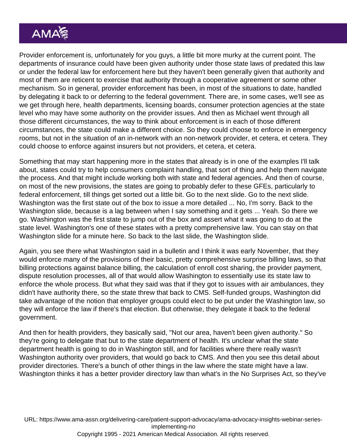Provider enforcement is, unfortunately for you guys, a little bit more murky at the current point. The departments of insurance could have been given authority under those state laws of predated this law or under the federal law for enforcement here but they haven't been generally given that authority and most of them are reticent to exercise that authority through a cooperative agreement or some other mechanism. So in general, provider enforcement has been, in most of the situations to date, handled by delegating it back to or deferring to the federal government. There are, in some cases, we'll see as we get through here, health departments, licensing boards, consumer protection agencies at the state level who may have some authority on the provider issues. And then as Michael went through all those different circumstances, the way to think about enforcement is in each of those different circumstances, the state could make a different choice. So they could choose to enforce in emergency rooms, but not in the situation of an in-network with an non-network provider, et cetera, et cetera. They could choose to enforce against insurers but not providers, et cetera, et cetera.

Something that may start happening more in the states that already is in one of the examples I'll talk about, states could try to help consumers complaint handling, that sort of thing and help them navigate the process. And that might include working both with state and federal agencies. And then of course, on most of the new provisions, the states are going to probably defer to these GFEs, particularly to federal enforcement, till things get sorted out a little bit. Go to the next slide. Go to the next slide. Washington was the first state out of the box to issue a more detailed ... No, I'm sorry. Back to the Washington slide, because is a lag between when I say something and it gets ... Yeah. So there we go. Washington was the first state to jump out of the box and assert what it was going to do at the state level. Washington's one of these states with a pretty comprehensive law. You can stay on that Washington slide for a minute here. So back to the last slide, the Washington slide.

Again, you see there what Washington said in a bulletin and I think it was early November, that they would enforce many of the provisions of their basic, pretty comprehensive surprise billing laws, so that billing protections against balance billing, the calculation of enroll cost sharing, the provider payment, dispute resolution processes, all of that would allow Washington to essentially use its state law to enforce the whole process. But what they said was that if they got to issues with air ambulances, they didn't have authority there, so the state threw that back to CMS. Self-funded groups, Washington did take advantage of the notion that employer groups could elect to be put under the Washington law, so they will enforce the law if there's that election. But otherwise, they delegate it back to the federal government.

And then for health providers, they basically said, "Not our area, haven't been given authority." So they're going to delegate that but to the state department of health. It's unclear what the state department health is going to do in Washington still, and for facilities where there really wasn't Washington authority over providers, that would go back to CMS. And then you see this detail about provider directories. There's a bunch of other things in the law where the state might have a law. Washington thinks it has a better provider directory law than what's in the No Surprises Act, so they've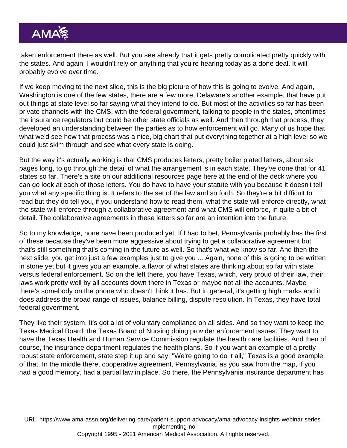taken enforcement there as well. But you see already that it gets pretty complicated pretty quickly with the states. And again, I wouldn't rely on anything that you're hearing today as a done deal. It will probably evolve over time.

If we keep moving to the next slide, this is the big picture of how this is going to evolve. And again, Washington is one of the few states, there are a few more, Delaware's another example, that have put out things at state level so far saying what they intend to do. But most of the activities so far has been private channels with the CMS, with the federal government, talking to people in the states, oftentimes the insurance regulators but could be other state officials as well. And then through that process, they developed an understanding between the parties as to how enforcement will go. Many of us hope that what we'd see how that process was a nice, big chart that put everything together at a high level so we could just skim through and see what every state is doing.

But the way it's actually working is that CMS produces letters, pretty boiler plated letters, about six pages long, to go through the detail of what the arrangement is in each state. They've done that for 41 states so far. There's a site on our additional resources page here at the end of the deck where you can go look at each of those letters. You do have to have your statute with you because it doesn't tell you what any specific thing is. It refers to the set of the law and so forth. So they're a bit difficult to read but they do tell you, if you understand how to read them, what the state will enforce directly, what the state will enforce through a collaborative agreement and what CMS will enforce, in quite a bit of detail. The collaborative agreements in these letters so far are an intention into the future.

So to my knowledge, none have been produced yet. If I had to bet, Pennsylvania probably has the first of these because they've been more aggressive about trying to get a collaborative agreement but that's still something that's coming in the future as well. So that's what we know so far. And then the next slide, you get into just a few examples just to give you ... Again, none of this is going to be written in stone yet but it gives you an example, a flavor of what states are thinking about so far with state versus federal enforcement. So on the left there, you have Texas, which, very proud of their law, their laws work pretty well by all accounts down there in Texas or maybe not all the accounts. Maybe there's somebody on the phone who doesn't think it has. But in general, it's getting high marks and it does address the broad range of issues, balance billing, dispute resolution. In Texas, they have total federal government.

They like their system. It's got a lot of voluntary compliance on all sides. And so they want to keep the Texas Medical Board, the Texas Board of Nursing doing provider enforcement issues. They want to have the Texas Health and Human Service Commission regulate the health care facilities. And then of course, the insurance department regulates the health plans. So if you want an example of a pretty robust state enforcement, state step it up and say, "We're going to do it all," Texas is a good example of that. In the middle there, cooperative agreement, Pennsylvania, as you saw from the map, if you had a good memory, had a partial law in place. So there, the Pennsylvania insurance department has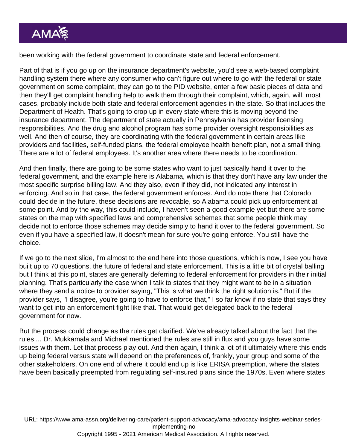been working with the federal government to coordinate state and federal enforcement.

Part of that is if you go up on the insurance department's website, you'd see a web-based complaint handling system there where any consumer who can't figure out where to go with the federal or state government on some complaint, they can go to the PID website, enter a few basic pieces of data and then they'll get complaint handling help to walk them through their complaint, which, again, will, most cases, probably include both state and federal enforcement agencies in the state. So that includes the Department of Health. That's going to crop up in every state where this is moving beyond the insurance department. The department of state actually in Pennsylvania has provider licensing responsibilities. And the drug and alcohol program has some provider oversight responsibilities as well. And then of course, they are coordinating with the federal government in certain areas like providers and facilities, self-funded plans, the federal employee health benefit plan, not a small thing. There are a lot of federal employees. It's another area where there needs to be coordination.

And then finally, there are going to be some states who want to just basically hand it over to the federal government, and the example here is Alabama, which is that they don't have any law under the most specific surprise billing law. And they also, even if they did, not indicated any interest in enforcing. And so in that case, the federal government enforces. And do note there that Colorado could decide in the future, these decisions are revocable, so Alabama could pick up enforcement at some point. And by the way, this could include, I haven't seen a good example yet but there are some states on the map with specified laws and comprehensive schemes that some people think may decide not to enforce those schemes may decide simply to hand it over to the federal government. So even if you have a specified law, it doesn't mean for sure you're going enforce. You still have the choice.

If we go to the next slide, I'm almost to the end here into those questions, which is now, I see you have built up to 70 questions, the future of federal and state enforcement. This is a little bit of crystal balling but I think at this point, states are generally deferring to federal enforcement for providers in their initial planning. That's particularly the case when I talk to states that they might want to be in a situation where they send a notice to provider saying, "This is what we think the right solution is." But if the provider says, "I disagree, you're going to have to enforce that," I so far know if no state that says they want to get into an enforcement fight like that. That would get delegated back to the federal government for now.

But the process could change as the rules get clarified. We've already talked about the fact that the rules ... Dr. Mukkamala and Michael mentioned the rules are still in flux and you guys have some issues with them. Let that process play out. And then again, I think a lot of it ultimately where this ends up being federal versus state will depend on the preferences of, frankly, your group and some of the other stakeholders. On one end of where it could end up is like ERISA preemption, where the states have been basically preempted from regulating self-insured plans since the 1970s. Even where states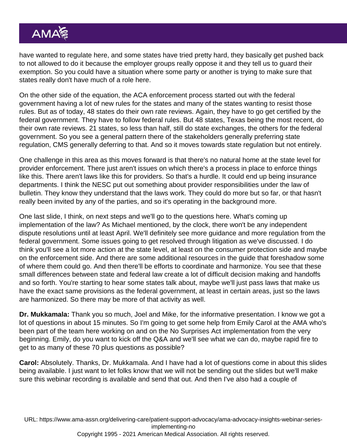have wanted to regulate here, and some states have tried pretty hard, they basically get pushed back to not allowed to do it because the employer groups really oppose it and they tell us to guard their exemption. So you could have a situation where some party or another is trying to make sure that states really don't have much of a role here.

On the other side of the equation, the ACA enforcement process started out with the federal government having a lot of new rules for the states and many of the states wanting to resist those rules. But as of today, 48 states do their own rate reviews. Again, they have to go get certified by the federal government. They have to follow federal rules. But 48 states, Texas being the most recent, do their own rate reviews. 21 states, so less than half, still do state exchanges, the others for the federal government. So you see a general pattern there of the stakeholders generally preferring state regulation, CMS generally deferring to that. And so it moves towards state regulation but not entirely.

One challenge in this area as this moves forward is that there's no natural home at the state level for provider enforcement. There just aren't issues on which there's a process in place to enforce things like this. There aren't laws like this for providers. So that's a hurdle. It could end up being insurance departments. I think the NESC put out something about provider responsibilities under the law of bulletin. They know they understand that the laws work. They could do more but so far, or that hasn't really been invited by any of the parties, and so it's operating in the background more.

One last slide, I think, on next steps and we'll go to the questions here. What's coming up implementation of the law? As Michael mentioned, by the clock, there won't be any independent dispute resolutions until at least April. We'll definitely see more guidance and more regulation from the federal government. Some issues going to get resolved through litigation as we've discussed. I do think you'll see a lot more action at the state level, at least on the consumer protection side and maybe on the enforcement side. And there are some additional resources in the guide that foreshadow some of where them could go. And then there'll be efforts to coordinate and harmonize. You see that these small differences between state and federal law create a lot of difficult decision making and handoffs and so forth. You're starting to hear some states talk about, maybe we'll just pass laws that make us have the exact same provisions as the federal government, at least in certain areas, just so the laws are harmonized. So there may be more of that activity as well.

Dr. Mukkamala: Thank you so much, Joel and Mike, for the informative presentation. I know we got a lot of questions in about 15 minutes. So I'm going to get some help from Emily Carol at the AMA who's been part of the team here working on and on the No Surprises Act implementation from the very beginning. Emily, do you want to kick off the Q&A and we'll see what we can do, maybe rapid fire to get to as many of these 70 plus questions as possible?

Carol: Absolutely. Thanks, Dr. Mukkamala. And I have had a lot of questions come in about this slides being available. I just want to let folks know that we will not be sending out the slides but we'll make sure this webinar recording is available and send that out. And then I've also had a couple of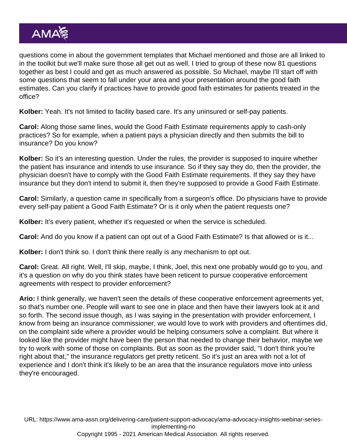questions come in about the government templates that Michael mentioned and those are all linked to in the toolkit but we'll make sure those all get out as well. I tried to group of these now 81 questions together as best I could and get as much answered as possible. So Michael, maybe I'll start off with some questions that seem to fall under your area and your presentation around the good faith estimates. Can you clarify if practices have to provide good faith estimates for patients treated in the office?

Kolber: Yeah. It's not limited to facility based care. It's any uninsured or self-pay patients.

Carol: Along those same lines, would the Good Faith Estimate requirements apply to cash-only practices? So for example, when a patient pays a physician directly and then submits the bill to insurance? Do you know?

Kolber: So it's an interesting question. Under the rules, the provider is supposed to inquire whether the patient has insurance and intends to use insurance. So if they say they do, then the provider, the physician doesn't have to comply with the Good Faith Estimate requirements. If they say they have insurance but they don't intend to submit it, then they're supposed to provide a Good Faith Estimate.

Carol: Similarly, a question came in specifically from a surgeon's office. Do physicians have to provide every self-pay patient a Good Faith Estimate? Or is it only when the patient requests one?

Kolber: It's every patient, whether it's requested or when the service is scheduled.

Carol: And do you know if a patient can opt out of a Good Faith Estimate? Is that allowed or is it...

Kolber: I don't think so. I don't think there really is any mechanism to opt out.

Carol: Great. All right. Well, I'll skip, maybe, I think, Joel, this next one probably would go to you, and it's a question on why do you think states have been reticent to pursue cooperative enforcement agreements with respect to provider enforcement?

Ario: I think generally, we haven't seen the details of these cooperative enforcement agreements yet, so that's number one. People will want to see one in place and then have their lawyers look at it and so forth. The second issue though, as I was saying in the presentation with provider enforcement, I know from being an insurance commissioner, we would love to work with providers and oftentimes did, on the complaint side where a provider would be helping consumers solve a complaint. But where it looked like the provider might have been the person that needed to change their behavior, maybe we try to work with some of those on complaints. But as soon as the provider said, "I don't think you're right about that," the insurance regulators get pretty reticent. So it's just an area with not a lot of experience and I don't think it's likely to be an area that the insurance regulators move into unless they're encouraged.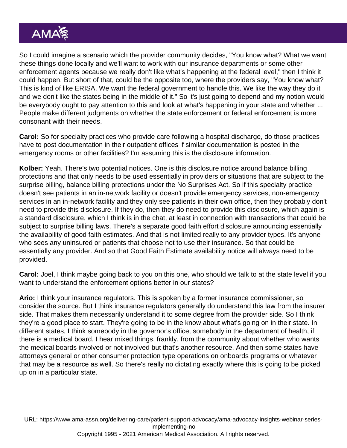So I could imagine a scenario which the provider community decides, "You know what? What we want these things done locally and we'll want to work with our insurance departments or some other enforcement agents because we really don't like what's happening at the federal level," then I think it could happen. But short of that, could be the opposite too, where the providers say, "You know what? This is kind of like ERISA. We want the federal government to handle this. We like the way they do it and we don't like the states being in the middle of it." So it's just going to depend and my notion would be everybody ought to pay attention to this and look at what's happening in your state and whether ... People make different judgments on whether the state enforcement or federal enforcement is more consonant with their needs.

Carol: So for specialty practices who provide care following a hospital discharge, do those practices have to post documentation in their outpatient offices if similar documentation is posted in the emergency rooms or other facilities? I'm assuming this is the disclosure information.

Kolber: Yeah. There's two potential notices. One is this disclosure notice around balance billing protections and that only needs to be used essentially in providers or situations that are subject to the surprise billing, balance billing protections under the No Surprises Act. So if this specialty practice doesn't see patients in an in-network facility or doesn't provide emergency services, non-emergency services in an in-network facility and they only see patients in their own office, then they probably don't need to provide this disclosure. If they do, then they do need to provide this disclosure, which again is a standard disclosure, which I think is in the chat, at least in connection with transactions that could be subject to surprise billing laws. There's a separate good faith effort disclosure announcing essentially the availability of good faith estimates. And that is not limited really to any provider types. It's anyone who sees any uninsured or patients that choose not to use their insurance. So that could be essentially any provider. And so that Good Faith Estimate availability notice will always need to be provided.

Carol: Joel, I think maybe going back to you on this one, who should we talk to at the state level if you want to understand the enforcement options better in our states?

Ario: I think your insurance regulators. This is spoken by a former insurance commissioner, so consider the source. But I think insurance regulators generally do understand this law from the insurer side. That makes them necessarily understand it to some degree from the provider side. So I think they're a good place to start. They're going to be in the know about what's going on in their state. In different states, I think somebody in the governor's office, somebody in the department of health, if there is a medical board. I hear mixed things, frankly, from the community about whether who wants the medical boards involved or not involved but that's another resource. And then some states have attorneys general or other consumer protection type operations on onboards programs or whatever that may be a resource as well. So there's really no dictating exactly where this is going to be picked up on in a particular state.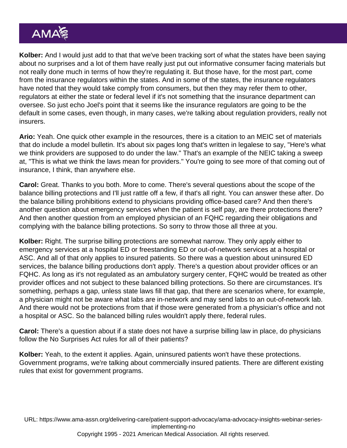Kolber: And I would just add to that that we've been tracking sort of what the states have been saying about no surprises and a lot of them have really just put out informative consumer facing materials but not really done much in terms of how they're regulating it. But those have, for the most part, come from the insurance regulators within the states. And in some of the states, the insurance regulators have noted that they would take comply from consumers, but then they may refer them to other, regulators at either the state or federal level if it's not something that the insurance department can oversee. So just echo Joel's point that it seems like the insurance regulators are going to be the default in some cases, even though, in many cases, we're talking about regulation providers, really not insurers.

Ario: Yeah. One quick other example in the resources, there is a citation to an MEIC set of materials that do include a model bulletin. It's about six pages long that's written in legalese to say, "Here's what we think providers are supposed to do under the law." That's an example of the NEIC taking a sweep at, "This is what we think the laws mean for providers." You're going to see more of that coming out of insurance, I think, than anywhere else.

Carol: Great. Thanks to you both. More to come. There's several questions about the scope of the balance billing protections and I'll just rattle off a few, if that's all right. You can answer these after. Do the balance billing prohibitions extend to physicians providing office-based care? And then there's another question about emergency services when the patient is self pay, are there protections there? And then another question from an employed physician of an FQHC regarding their obligations and complying with the balance billing protections. So sorry to throw those all three at you.

Kolber: Right. The surprise billing protections are somewhat narrow. They only apply either to emergency services at a hospital ED or freestanding ED or out-of-network services at a hospital or ASC. And all of that only applies to insured patients. So there was a question about uninsured ED services, the balance billing productions don't apply. There's a question about provider offices or an FQHC. As long as it's not regulated as an ambulatory surgery center, FQHC would be treated as other provider offices and not subject to these balanced billing protections. So there are circumstances. It's something, perhaps a gap, unless state laws fill that gap, that there are scenarios where, for example, a physician might not be aware what labs are in-network and may send labs to an out-of-network lab. And there would not be protections from that if those were generated from a physician's office and not a hospital or ASC. So the balanced billing rules wouldn't apply there, federal rules.

Carol: There's a question about if a state does not have a surprise billing law in place, do physicians follow the No Surprises Act rules for all of their patients?

Kolber: Yeah, to the extent it applies. Again, uninsured patients won't have these protections. Government programs, we're talking about commercially insured patients. There are different existing rules that exist for government programs.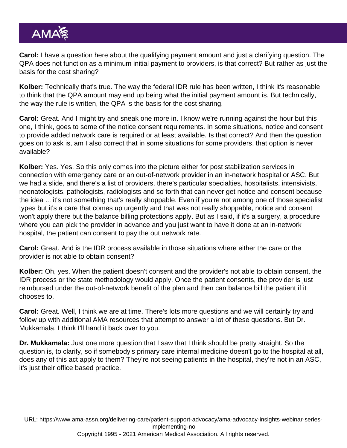Carol: I have a question here about the qualifying payment amount and just a clarifying question. The QPA does not function as a minimum initial payment to providers, is that correct? But rather as just the basis for the cost sharing?

Kolber: Technically that's true. The way the federal IDR rule has been written, I think it's reasonable to think that the QPA amount may end up being what the initial payment amount is. But technically, the way the rule is written, the QPA is the basis for the cost sharing.

Carol: Great. And I might try and sneak one more in. I know we're running against the hour but this one, I think, goes to some of the notice consent requirements. In some situations, notice and consent to provide added network care is required or at least available. Is that correct? And then the question goes on to ask is, am I also correct that in some situations for some providers, that option is never available?

Kolber: Yes. Yes. So this only comes into the picture either for post stabilization services in connection with emergency care or an out-of-network provider in an in-network hospital or ASC. But we had a slide, and there's a list of providers, there's particular specialties, hospitalists, intensivists, neonatologists, pathologists, radiologists and so forth that can never get notice and consent because the idea ... it's not something that's really shoppable. Even if you're not among one of those specialist types but it's a care that comes up urgently and that was not really shoppable, notice and consent won't apply there but the balance billing protections apply. But as I said, if it's a surgery, a procedure where you can pick the provider in advance and you just want to have it done at an in-network hospital, the patient can consent to pay the out network rate.

Carol: Great. And is the IDR process available in those situations where either the care or the provider is not able to obtain consent?

Kolber: Oh, yes. When the patient doesn't consent and the provider's not able to obtain consent, the IDR process or the state methodology would apply. Once the patient consents, the provider is just reimbursed under the out-of-network benefit of the plan and then can balance bill the patient if it chooses to.

Carol: Great. Well, I think we are at time. There's lots more questions and we will certainly try and follow up with additional AMA resources that attempt to answer a lot of these questions. But Dr. Mukkamala, I think I'll hand it back over to you.

Dr. Mukkamala: Just one more question that I saw that I think should be pretty straight. So the question is, to clarify, so if somebody's primary care internal medicine doesn't go to the hospital at all, does any of this act apply to them? They're not seeing patients in the hospital, they're not in an ASC, it's just their office based practice.